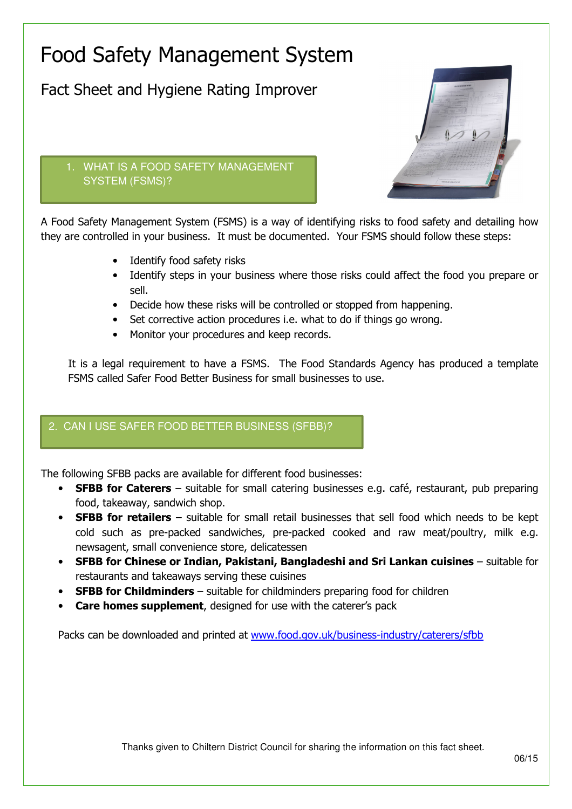## Food Safety Management System

Fact Sheet and Hygiene Rating Improver



## 1. WHAT IS A FOOD SAFETY MANAGEMENT SYSTEM (FSMS)?

A Food Safety Management System (FSMS) is a way of identifying risks to food safety and detailing how they are controlled in your business. It must be documented. Your FSMS should follow these steps:

- Identify food safety risks
- Identify steps in your business where those risks could affect the food you prepare or sell.
- Decide how these risks will be controlled or stopped from happening.
- Set corrective action procedures i.e. what to do if things go wrong.
- Monitor your procedures and keep records.

It is a legal requirement to have a FSMS. The Food Standards Agency has produced a template FSMS called Safer Food Better Business for small businesses to use.

## 2. CAN I USE SAFER FOOD BETTER BUSINESS (SFBB)?

The following SFBB packs are available for different food businesses:

- **SFBB for Caterers** suitable for small catering businesses e.g. café, restaurant, pub preparing food, takeaway, sandwich shop.
- **SFBB for retailers** suitable for small retail businesses that sell food which needs to be kept cold such as pre-packed sandwiches, pre-packed cooked and raw meat/poultry, milk e.g. newsagent, small convenience store, delicatessen
- SFBB for Chinese or Indian, Pakistani, Bangladeshi and Sri Lankan cuisines suitable for restaurants and takeaways serving these cuisines
- **SFBB for Childminders** suitable for childminders preparing food for children
- **Care homes supplement**, designed for use with the caterer's pack

Packs can be downloaded and printed at www.food.gov.uk/business-industry/caterers/sfbb

Thanks given to Chiltern District Council for sharing the information on this fact sheet.